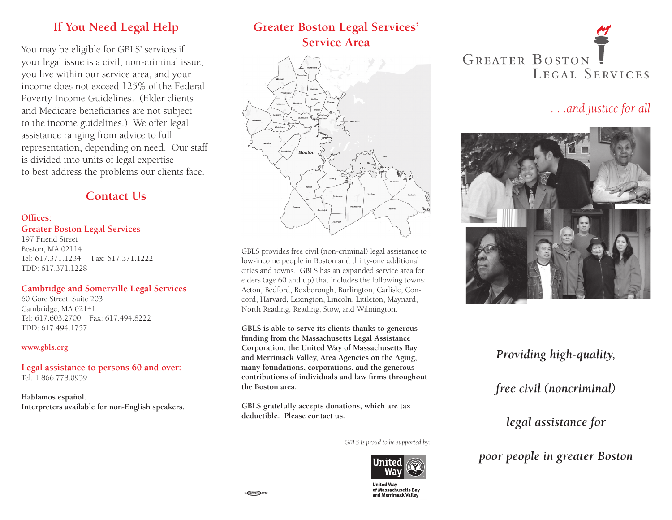# **If You Need Legal Help**

You may be eligible for GBLS' services if your legal issue is a civil, non-criminal issue, you live within our service area, and your income does not exceed 125% of the Federal Poverty Income Guidelines. (Elder clients and Medicare beneficiaries are not subject to the income guidelines.) We offer legal assistance ranging from advice to full representation, depending on need. Our staff is divided into units of legal expertise to best address the problems our clients face.

## **Contact Us**

#### **Offices:**

#### **Greater Boston Legal Services**

197 Friend Street Boston, MA 02114 Tel: 617.371.1234 Fax: 617.371.1222 TDD: 617.371.1228

#### **Cambridge and Somerville Legal Services**

60 Gore Street, Suite 203 Cambridge, MA 02141 Tel: 617.603.2700 Fax: 617.494.8222 TDD: 617.494.1757

#### **www.gbls.org**

**Legal assistance to persons 60 and over:** Tel. 1.866.778.0939

**Hablamos español. Interpreters available for non-English speakers.**

# **Greater Boston Legal Services' Service Area**



GBLS provides free civil (non-criminal) legal assistance to low-income people in Boston and thirty-one additional cities and towns. GBLS has an expanded service area for elders (age 60 and up) that includes the following towns: Acton, Bedford, Boxborough, Burlington, Carlisle, Concord, Harvard, Lexington, Lincoln, Littleton, Maynard, North Reading, Reading, Stow, and Wilmington.

**GBLS is able to serve its clients thanks to generous funding from the Massachusetts Legal Assistance Corporation, the United Way of Massachusetts Bay and Merrimack Valley, Area Agencies on the Aging, many foundations, corporations, and the generous contributions of individuals and law firms throughout the Boston area.**

**GBLS gratefully accepts donations, which are tax deductible. Please contact us.**

*GBLS is proud to be supported by:*



United Way of Massachusetts Bay and Merrimack Valley



## *. . .and justice for all*



# *Providing high-quality, free civil (noncriminal)*

*legal assistance for* 

*poor people in greater Boston*